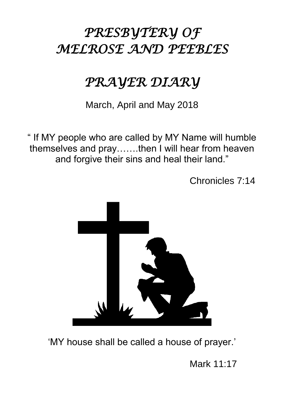# *PRESBYTERY OF MELROSE AND PEEBLES*

# *PRAYER DIARY*

March, April and May 2018

" If MY people who are called by MY Name will humble themselves and pray…….then I will hear from heaven and forgive their sins and heal their land."

Chronicles 7:14



'MY house shall be called a house of prayer.'

Mark 11:17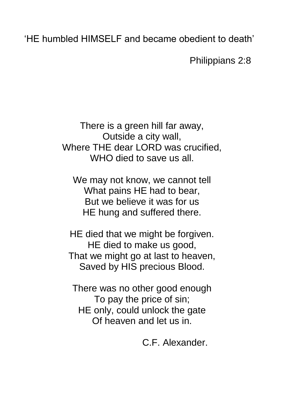'HE humbled HIMSELF and became obedient to death'

Philippians 2:8

There is a green hill far away, Outside a city wall, Where THE dear LORD was crucified, WHO died to save us all.

We may not know, we cannot tell What pains HE had to bear, But we believe it was for us HE hung and suffered there.

HE died that we might be forgiven. HE died to make us good, That we might go at last to heaven, Saved by HIS precious Blood.

There was no other good enough To pay the price of sin; HE only, could unlock the gate Of heaven and let us in.

C.F. Alexander.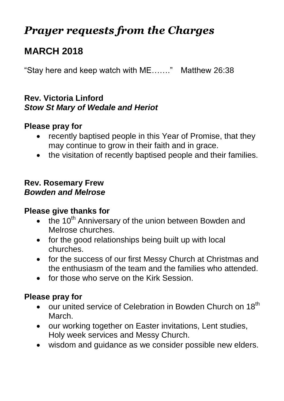# *Prayer requests from the Charges*

# **MARCH 2018**

"Stay here and keep watch with ME……." Matthew 26:38

#### **Rev. Victoria Linford** *Stow St Mary of Wedale and Heriot*

#### **Please pray for**

- recently baptised people in this Year of Promise, that they may continue to grow in their faith and in grace.
- the visitation of recently baptised people and their families.

#### **Rev. Rosemary Frew** *Bowden and Melrose*

#### **Please give thanks for**

- $\bullet$  the 10<sup>th</sup> Anniversary of the union between Bowden and Melrose churches.
- for the good relationships being built up with local churches.
- for the success of our first Messy Church at Christmas and the enthusiasm of the team and the families who attended.
- for those who serve on the Kirk Session.

- $\bullet$  our united service of Celebration in Bowden Church on 18<sup>th</sup> March.
- our working together on Easter invitations, Lent studies, Holy week services and Messy Church.
- wisdom and guidance as we consider possible new elders.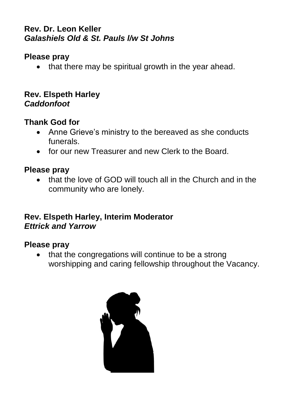## **Rev. Dr. Leon Keller** *Galashiels Old & St. Pauls l/w St Johns*

# **Please pray**

• that there may be spiritual growth in the year ahead.

### **Rev. Elspeth Harley** *Caddonfoot*

# **Thank God for**

- Anne Grieve's ministry to the bereaved as she conducts funerals.
- for our new Treasurer and new Clerk to the Board.

# **Please pray**

• that the love of GOD will touch all in the Church and in the community who are lonely.

#### **Rev. Elspeth Harley, Interim Moderator** *Ettrick and Yarrow*

#### **Please pray**

• that the congregations will continue to be a strong worshipping and caring fellowship throughout the Vacancy.

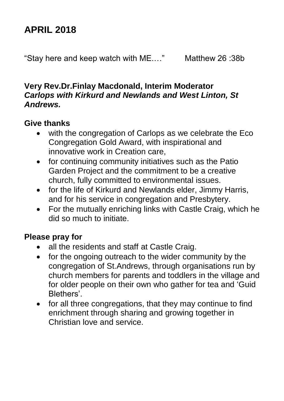# **APRIL 2018**

"Stay here and keep watch with ME.…" Matthew 26 :38b

#### **Very Rev.Dr.Finlay Macdonald, Interim Moderator** *Carlops with Kirkurd and Newlands and West Linton, St Andrews.*

# **Give thanks**

- with the congregation of Carlops as we celebrate the Eco Congregation Gold Award, with inspirational and innovative work in Creation care,
- for continuing community initiatives such as the Patio Garden Project and the commitment to be a creative church, fully committed to environmental issues.
- for the life of Kirkurd and Newlands elder, Jimmy Harris, and for his service in congregation and Presbytery.
- For the mutually enriching links with Castle Craig, which he did so much to initiate.

- all the residents and staff at Castle Craig.
- for the ongoing outreach to the wider community by the congregation of St.Andrews, through organisations run by church members for parents and toddlers in the village and for older people on their own who gather for tea and 'Guid Blethers'.
- for all three congregations, that they may continue to find enrichment through sharing and growing together in Christian love and service.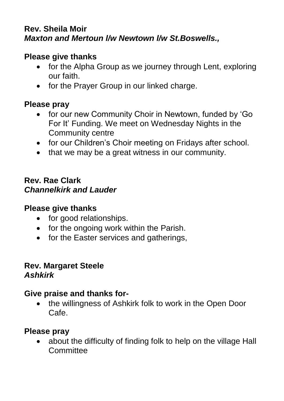#### **Rev. Sheila Moir** *Maxton and Mertoun l/w Newtown l/w St.Boswells.,*

# **Please give thanks**

- for the Alpha Group as we journey through Lent, exploring our faith.
- for the Prayer Group in our linked charge.

## **Please pray**

- for our new Community Choir in Newtown, funded by 'Go For It' Funding. We meet on Wednesday Nights in the Community centre
- for our Children's Choir meeting on Fridays after school.
- that we may be a great witness in our community.

#### **Rev. Rae Clark** *Channelkirk and Lauder*

#### **Please give thanks**

- for good relationships.
- for the ongoing work within the Parish.
- for the Easter services and gatherings,

#### **Rev. Margaret Steele** *Ashkirk*

#### **Give praise and thanks for-**

 the willingness of Ashkirk folk to work in the Open Door Cafe.

#### **Please pray**

• about the difficulty of finding folk to help on the village Hall Committee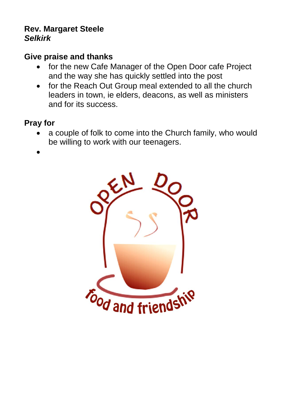#### **Rev. Margaret Steele** *Selkirk*

## **Give praise and thanks**

- for the new Cafe Manager of the Open Door cafe Project and the way she has quickly settled into the post
- for the Reach Out Group meal extended to all the church leaders in town, ie elders, deacons, as well as ministers and for its success.

# **Pray for**

- a couple of folk to come into the Church family, who would be willing to work with our teenagers.
- $\bullet$

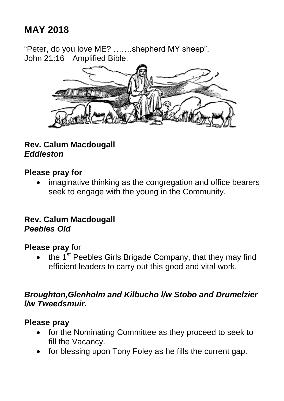# **MAY 2018**

"Peter, do you love ME? …….shepherd MY sheep". John 21:16 Amplified Bible.



# **Rev. Calum Macdougall** *Eddleston*

#### **Please pray for**

 imaginative thinking as the congregation and office bearers seek to engage with the young in the Community.

#### **Rev. Calum Macdougall** *Peebles Old*

#### **Please pray** for

the 1<sup>st</sup> Peebles Girls Brigade Company, that they may find efficient leaders to carry out this good and vital work.

#### *Broughton,Glenholm and Kilbucho l/w Stobo and Drumelzier l/w Tweedsmuir.*

#### **Please pray**

- for the Nominating Committee as they proceed to seek to fill the Vacancy.
- for blessing upon Tony Foley as he fills the current gap.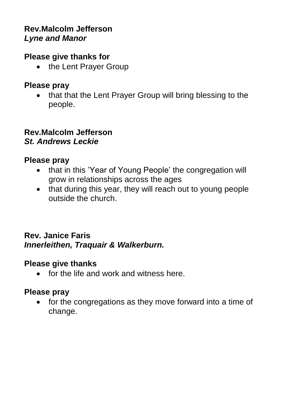## **Rev.Malcolm Jefferson** *Lyne and Manor*

### **Please give thanks for**

• the Lent Prayer Group

# **Please pray**

• that that the Lent Prayer Group will bring blessing to the people.

### **Rev.Malcolm Jefferson** *St. Andrews Leckie*

# **Please pray**

- that in this 'Year of Young People' the congregation will grow in relationships across the ages
- that during this year, they will reach out to young people outside the church.

## **Rev. Janice Faris** *Innerleithen, Traquair & Walkerburn.*

# **Please give thanks**

• for the life and work and witness here.

# **Please pray**

• for the congregations as they move forward into a time of change.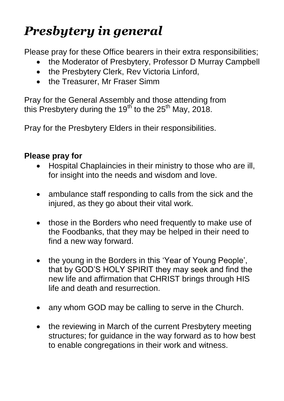# *Presbytery in general*

Please pray for these Office bearers in their extra responsibilities;

- the Moderator of Presbytery, Professor D Murray Campbell
- the Presbytery Clerk, Rev Victoria Linford,
- the Treasurer, Mr Fraser Simm

Pray for the General Assembly and those attending from this Presbytery during the  $19<sup>th</sup>$  to the 25<sup>th</sup> May, 2018.

Pray for the Presbytery Elders in their responsibilities.

- Hospital Chaplaincies in their ministry to those who are ill, for insight into the needs and wisdom and love.
- ambulance staff responding to calls from the sick and the injured, as they go about their vital work.
- those in the Borders who need frequently to make use of the Foodbanks, that they may be helped in their need to find a new way forward.
- the young in the Borders in this 'Year of Young People', that by GOD'S HOLY SPIRIT they may seek and find the new life and affirmation that CHRIST brings through HIS life and death and resurrection.
- any whom GOD may be calling to serve in the Church.
- the reviewing in March of the current Presbytery meeting structures; for guidance in the way forward as to how best to enable congregations in their work and witness.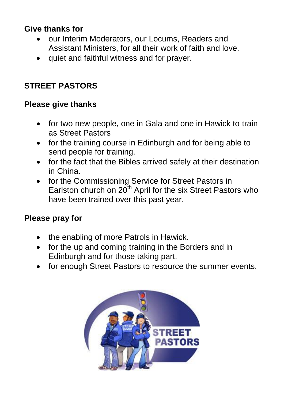# **Give thanks for**

- our Interim Moderators, our Locums, Readers and Assistant Ministers, for all their work of faith and love.
- quiet and faithful witness and for prayer.

# **STREET PASTORS**

# **Please give thanks**

- for two new people, one in Gala and one in Hawick to train as Street Pastors
- for the training course in Edinburgh and for being able to send people for training.
- for the fact that the Bibles arrived safely at their destination in China.
- for the Commissioning Service for Street Pastors in Earlston church on  $20<sup>th</sup>$  April for the six Street Pastors who have been trained over this past year.

- the enabling of more Patrols in Hawick.
- for the up and coming training in the Borders and in Edinburgh and for those taking part.
- for enough Street Pastors to resource the summer events.